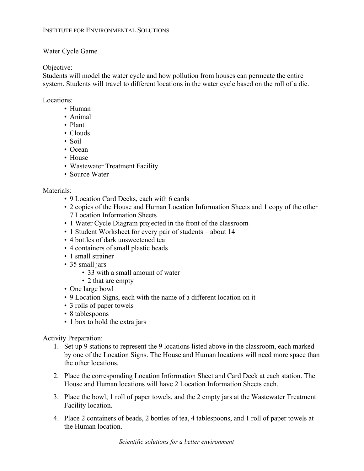### Water Cycle Game

### Objective:

Students will model the water cycle and how pollution from houses can permeate the entire system. Students will travel to different locations in the water cycle based on the roll of a die.

#### Locations:

- Human
- Animal
- Plant
- Clouds
- Soil
- Ocean
- House
- Wastewater Treatment Facility
- Source Water

# Materials:

- 9 Location Card Decks, each with 6 cards
- 2 copies of the House and Human Location Information Sheets and 1 copy of the other 7 Location Information Sheets
- 1 Water Cycle Diagram projected in the front of the classroom
- 1 Student Worksheet for every pair of students about 14
- 4 bottles of dark unsweetened tea
- 4 containers of small plastic beads
- 1 small strainer
- 35 small jars
	- 33 with a small amount of water
	- 2 that are empty
- One large bowl
- 9 Location Signs, each with the name of a different location on it
- 3 rolls of paper towels
- 8 tablespoons
- 1 box to hold the extra jars

# Activity Preparation:

- 1. Set up 9 stations to represent the 9 locations listed above in the classroom, each marked by one of the Location Signs. The House and Human locations will need more space than the other locations.
- 2. Place the corresponding Location Information Sheet and Card Deck at each station. The House and Human locations will have 2 Location Information Sheets each.
- 3. Place the bowl, 1 roll of paper towels, and the 2 empty jars at the Wastewater Treatment Facility location.
- 4. Place 2 containers of beads, 2 bottles of tea, 4 tablespoons, and 1 roll of paper towels at the Human location.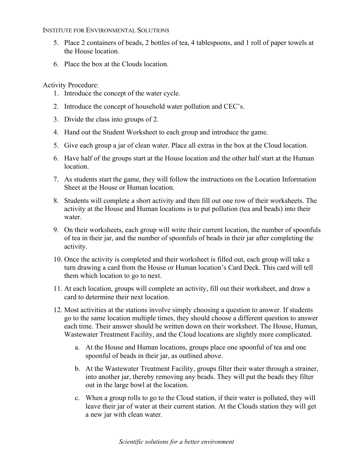### INSTITUTE FOR ENVIRONMENTAL SOLUTIONS

- 5. Place 2 containers of beads, 2 bottles of tea, 4 tablespoons, and 1 roll of paper towels at the House location.
- 6. Place the box at the Clouds location.

Activity Procedure:

- 1. Introduce the concept of the water cycle.
- 2. Introduce the concept of household water pollution and CEC's.
- 3. Divide the class into groups of 2.
- 4. Hand out the Student Worksheet to each group and introduce the game.
- 5. Give each group a jar of clean water. Place all extras in the box at the Cloud location.
- 6. Have half of the groups start at the House location and the other half start at the Human location.
- 7. As students start the game, they will follow the instructions on the Location Information Sheet at the House or Human location.
- 8. Students will complete a short activity and then fill out one row of their worksheets. The activity at the House and Human locations is to put pollution (tea and beads) into their water.
- 9. On their worksheets, each group will write their current location, the number of spoonfuls of tea in their jar, and the number of spoonfuls of beads in their jar after completing the activity.
- 10. Once the activity is completed and their worksheet is filled out, each group will take a turn drawing a card from the House or Human location's Card Deck. This card will tell them which location to go to next.
- 11. At each location, groups will complete an activity, fill out their worksheet, and draw a card to determine their next location.
- 12. Most activities at the stations involve simply choosing a question to answer. If students go to the same location multiple times, they should choose a different question to answer each time. Their answer should be written down on their worksheet. The House, Human, Wastewater Treatment Facility, and the Cloud locations are slightly more complicated.
	- a. At the House and Human locations, groups place one spoonful of tea and one spoonful of beads in their jar, as outlined above.
	- b. At the Wastewater Treatment Facility, groups filter their water through a strainer, into another jar, thereby removing any beads. They will put the beads they filter out in the large bowl at the location.
	- c. When a group rolls to go to the Cloud station, if their water is polluted, they will leave their jar of water at their current station. At the Clouds station they will get a new jar with clean water.